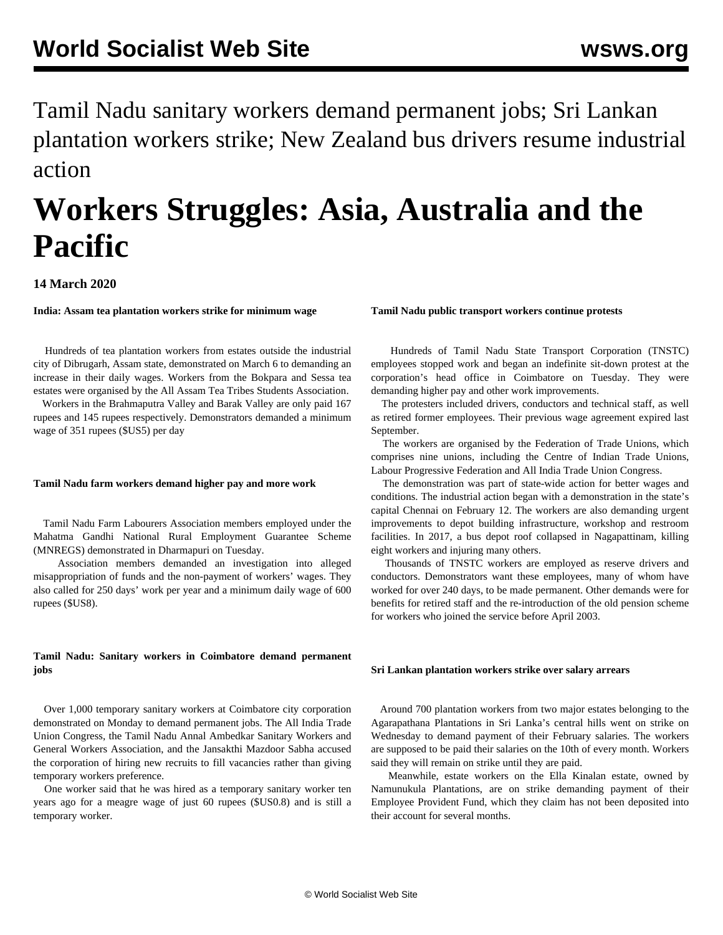Tamil Nadu sanitary workers demand permanent jobs; Sri Lankan plantation workers strike; New Zealand bus drivers resume industrial action

# **Workers Struggles: Asia, Australia and the Pacific**

## **14 March 2020**

**India: Assam tea plantation workers strike for minimum wage**

 Hundreds of tea plantation workers from estates outside the industrial city of Dibrugarh, Assam state, demonstrated on March 6 to demanding an increase in their daily wages. Workers from the Bokpara and Sessa tea estates were organised by the All Assam Tea Tribes Students Association.

 Workers in the Brahmaputra Valley and Barak Valley are only paid 167 rupees and 145 rupees respectively. Demonstrators demanded a minimum wage of 351 rupees (\$US5) per day

#### **Tamil Nadu farm workers demand higher pay and more work**

 Tamil Nadu Farm Labourers Association members employed under the Mahatma Gandhi National Rural Employment Guarantee Scheme (MNREGS) demonstrated in Dharmapuri on Tuesday.

 Association members demanded an investigation into alleged misappropriation of funds and the non-payment of workers' wages. They also called for 250 days' work per year and a minimum daily wage of 600 rupees (\$US8).

### **Tamil Nadu: Sanitary workers in Coimbatore demand permanent jobs**

 Over 1,000 temporary sanitary workers at Coimbatore city corporation demonstrated on Monday to demand permanent jobs. The All India Trade Union Congress, the Tamil Nadu Annal Ambedkar Sanitary Workers and General Workers Association, and the Jansakthi Mazdoor Sabha accused the corporation of hiring new recruits to fill vacancies rather than giving temporary workers preference.

 One worker said that he was hired as a temporary sanitary worker ten years ago for a meagre wage of just 60 rupees (\$US0.8) and is still a temporary worker.

#### **Tamil Nadu public transport workers continue protests**

 Hundreds of Tamil Nadu State Transport Corporation (TNSTC) employees stopped work and began an indefinite sit-down protest at the corporation's head office in Coimbatore on Tuesday. They were demanding higher pay and other work improvements.

 The protesters included drivers, conductors and technical staff, as well as retired former employees. Their previous wage agreement expired last September.

 The workers are organised by the Federation of Trade Unions, which comprises nine unions, including the Centre of Indian Trade Unions, Labour Progressive Federation and All India Trade Union Congress.

 The demonstration was part of state-wide action for better wages and conditions. The industrial action began with a demonstration in the state's capital Chennai on February 12. The workers are also demanding urgent improvements to depot building infrastructure, workshop and restroom facilities. In 2017, a bus depot roof collapsed in Nagapattinam, killing eight workers and injuring many others.

 Thousands of TNSTC workers are employed as reserve drivers and conductors. Demonstrators want these employees, many of whom have worked for over 240 days, to be made permanent. Other demands were for benefits for retired staff and the re-introduction of the old pension scheme for workers who joined the service before April 2003.

#### **Sri Lankan plantation workers strike over salary arrears**

 Around 700 plantation workers from two major estates belonging to the Agarapathana Plantations in Sri Lanka's central hills went on strike on Wednesday to demand payment of their February salaries. The workers are supposed to be paid their salaries on the 10th of every month. Workers said they will remain on strike until they are paid.

 Meanwhile, estate workers on the Ella Kinalan estate, owned by Namunukula Plantations, are on strike demanding payment of their Employee Provident Fund, which they claim has not been deposited into their account for several months.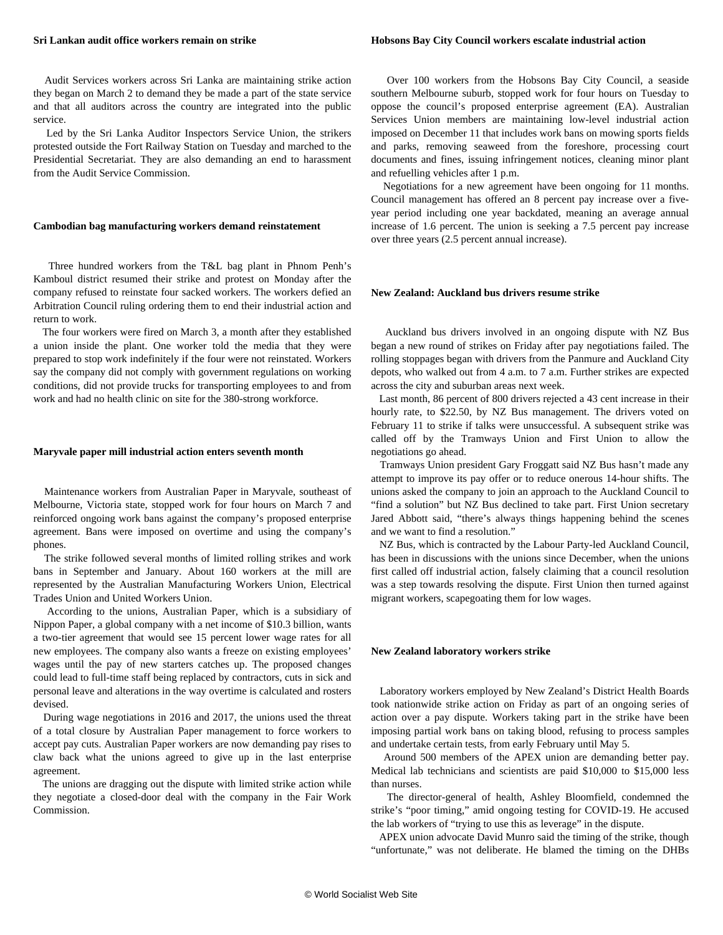#### **Sri Lankan audit office workers remain on strike**

 Audit Services workers across Sri Lanka are maintaining strike action they began on March 2 to demand they be made a part of the state service and that all auditors across the country are integrated into the public service.

 Led by the Sri Lanka Auditor Inspectors Service Union, the strikers protested outside the Fort Railway Station on Tuesday and marched to the Presidential Secretariat. They are also demanding an end to harassment from the Audit Service Commission.

#### **Cambodian bag manufacturing workers demand reinstatement**

 Three hundred workers from the T&L bag plant in Phnom Penh's Kamboul district resumed their strike and protest on Monday after the company refused to reinstate four sacked workers. The workers defied an Arbitration Council ruling ordering them to end their industrial action and return to work.

 The four workers were fired on March 3, a month after they established a union inside the plant. One worker told the media that they were prepared to stop work indefinitely if the four were not reinstated. Workers say the company did not comply with government regulations on working conditions, did not provide trucks for transporting employees to and from work and had no health clinic on site for the 380-strong workforce.

#### **Maryvale paper mill industrial action enters seventh month**

 Maintenance workers from Australian Paper in Maryvale, southeast of Melbourne, Victoria state, stopped work for four hours on March 7 and reinforced ongoing work bans against the company's proposed enterprise agreement. Bans were imposed on overtime and using the company's phones.

 The strike followed several months of limited rolling strikes and work bans in September and January. About 160 workers at the mill are represented by the Australian Manufacturing Workers Union, Electrical Trades Union and United Workers Union.

 According to the unions, Australian Paper, which is a subsidiary of Nippon Paper, a global company with a net income of \$10.3 billion, wants a two-tier agreement that would see 15 percent lower wage rates for all new employees. The company also wants a freeze on existing employees' wages until the pay of new starters catches up. The proposed changes could lead to full-time staff being replaced by contractors, cuts in sick and personal leave and alterations in the way overtime is calculated and rosters devised.

 During wage negotiations in 2016 and 2017, the unions used the threat of a total closure by Australian Paper management to force workers to accept pay cuts. Australian Paper workers are now demanding pay rises to claw back what the unions agreed to give up in the last enterprise agreement.

 The unions are dragging out the dispute with limited strike action while they negotiate a closed-door deal with the company in the Fair Work Commission.

 Over 100 workers from the Hobsons Bay City Council, a seaside southern Melbourne suburb, stopped work for four hours on Tuesday to oppose the council's proposed enterprise agreement (EA). Australian Services Union members are maintaining low-level industrial action imposed on December 11 that includes work bans on mowing sports fields and parks, removing seaweed from the foreshore, processing court documents and fines, issuing infringement notices, cleaning minor plant and refuelling vehicles after 1 p.m.

 Negotiations for a new agreement have been ongoing for 11 months. Council management has offered an 8 percent pay increase over a fiveyear period including one year backdated, meaning an average annual increase of 1.6 percent. The union is seeking a 7.5 percent pay increase over three years (2.5 percent annual increase).

#### **New Zealand: Auckland bus drivers resume strike**

 Auckland bus drivers involved in an ongoing dispute with NZ Bus began a new round of strikes on Friday after pay negotiations failed. The rolling stoppages began with drivers from the Panmure and Auckland City depots, who walked out from 4 a.m. to 7 a.m. Further strikes are expected across the city and suburban areas next week.

 Last month, 86 percent of 800 drivers rejected a 43 cent increase in their hourly rate, to \$22.50, by NZ Bus management. The drivers voted on February 11 to strike if talks were unsuccessful. A subsequent strike was called off by the Tramways Union and First Union to allow the negotiations go ahead.

 Tramways Union president Gary Froggatt said NZ Bus hasn't made any attempt to improve its pay offer or to reduce onerous 14-hour shifts. The unions asked the company to join an approach to the Auckland Council to "find a solution" but NZ Bus declined to take part. First Union secretary Jared Abbott said, "there's always things happening behind the scenes and we want to find a resolution."

 NZ Bus, which is contracted by the Labour Party-led Auckland Council, has been in discussions with the unions since December, when the unions first called off industrial action, falsely claiming that a council resolution was a step towards resolving the dispute. First Union then turned against migrant workers, scapegoating them for low wages.

#### **New Zealand laboratory workers strike**

 Laboratory workers employed by New Zealand's District Health Boards took nationwide strike action on Friday as part of an ongoing series of action over a pay dispute. Workers taking part in the strike have been imposing partial work bans on taking blood, refusing to process samples and undertake certain tests, from early February until May 5.

 Around 500 members of the APEX union are demanding better pay. Medical lab technicians and scientists are paid \$10,000 to \$15,000 less than nurses.

 The director-general of health, Ashley Bloomfield, condemned the strike's "poor timing," amid ongoing testing for COVID-19. He accused the lab workers of "trying to use this as leverage" in the dispute.

 APEX union advocate David Munro said the timing of the strike, though "unfortunate," was not deliberate. He blamed the timing on the DHBs